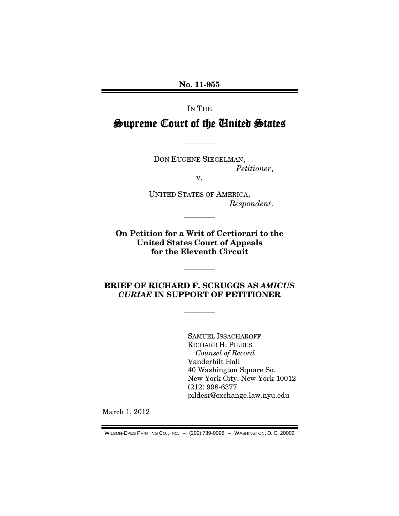**No. 11-955**

#### IN THE

# Supreme Court of the United States

————

DON EUGENE SIEGELMAN, *Petitioner*,

v.

UNITED STATES OF AMERICA, *Respondent*.

**On Petition for a Writ of Certiorari to the United States Court of Appeals for the Eleventh Circuit**

————

### **BRIEF OF RICHARD F. SCRUGGS AS** *AMICUS CURIAE* **IN SUPPORT OF PETITIONER**

————

————

SAMUEL ISSACHAROFF RICHARD H. PILDES *Counsel of Record* Vanderbilt Hall 40 Washington Square So. New York City, New York 10012 (212) 998-6377 pildesr@exchange.law.nyu.edu

March 1, 2012

WILSON-EPES PRINTING CO., INC. – (202) 789-0096 – WASHINGTON, D. C. 20002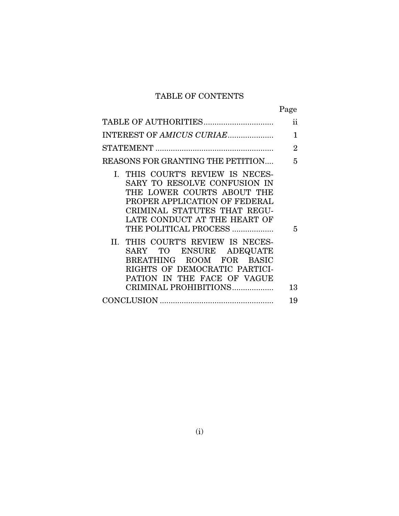# TABLE OF CONTENTS

|                                                                                                                                                                                                                          | Page           |
|--------------------------------------------------------------------------------------------------------------------------------------------------------------------------------------------------------------------------|----------------|
| TABLE OF AUTHORITIES                                                                                                                                                                                                     | ii             |
| INTEREST OF AMICUS CURIAE                                                                                                                                                                                                | 1              |
|                                                                                                                                                                                                                          | $\overline{2}$ |
| REASONS FOR GRANTING THE PETITION                                                                                                                                                                                        | 5              |
| I. THIS COURT'S REVIEW IS NECES-<br>SARY TO RESOLVE CONFUSION IN<br>THE LOWER COURTS ABOUT THE<br>PROPER APPLICATION OF FEDERAL<br>CRIMINAL STATUTES THAT REGU-<br>LATE CONDUCT AT THE HEART OF<br>THE POLITICAL PROCESS | 5              |
| II. THIS COURT'S REVIEW IS NECES-<br>SARY TO ENSURE ADEQUATE<br>BREATHING ROOM FOR BASIC<br>RIGHTS OF DEMOCRATIC PARTICI-<br>PATION IN THE FACE OF VAGUE<br>CRIMINAL PROHIBITIONS                                        | 13             |
|                                                                                                                                                                                                                          | 19             |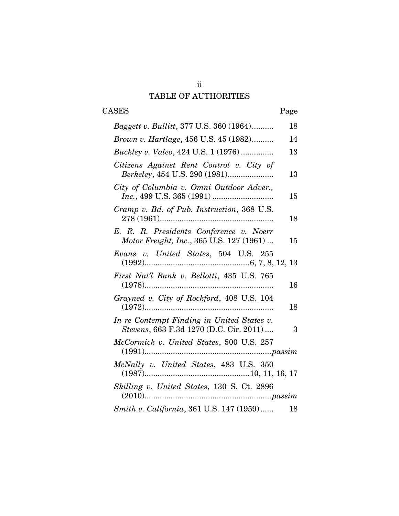## ii TABLE OF AUTHORITIES

# CASES Page

| <i>Baggett v. Bullitt, 377 U.S. 360 (1964)</i>                                        |  | 18 |
|---------------------------------------------------------------------------------------|--|----|
| <i>Brown v. Hartlage</i> , 456 U.S. 45 (1982)                                         |  | 14 |
| <i>Buckley v. Valeo, 424 U.S. 1 (1976) </i>                                           |  | 13 |
| Citizens Against Rent Control v. City of<br>Berkeley, 454 U.S. 290 (1981)             |  | 13 |
| City of Columbia v. Omni Outdoor Adver.,                                              |  | 15 |
| Cramp v. Bd. of Pub. Instruction, 368 U.S.                                            |  | 18 |
| E. R. R. Presidents Conference v. Noerr<br>Motor Freight, Inc., 365 U.S. 127 (1961)   |  | 15 |
| Evans v. United States, 504 U.S. 255                                                  |  |    |
| First Nat'l Bank v. Bellotti, 435 U.S. 765                                            |  | 16 |
| Grayned v. City of Rockford, 408 U.S. 104                                             |  | 18 |
| In re Contempt Finding in United States v.<br>Stevens, 663 F.3d 1270 (D.C. Cir. 2011) |  | 3  |
| McCormick v. United States, 500 U.S. 257                                              |  |    |
| McNally v. United States, 483 U.S. 350                                                |  |    |
| Skilling v. United States, 130 S. Ct. 2896                                            |  |    |
| Smith v. California, 361 U.S. 147 (1959)                                              |  | 18 |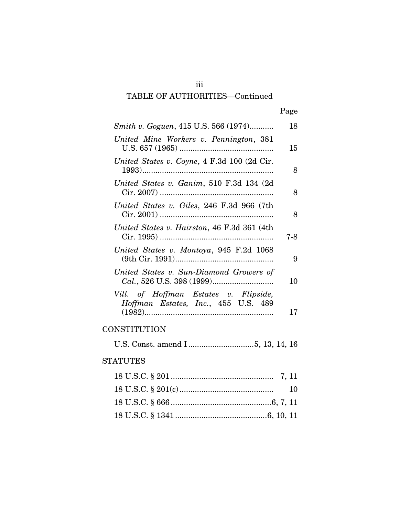# iii

## TABLE OF AUTHORITIES—Continued

| × |
|---|
|---|

| Smith v. Goguen, 415 U.S. 566 (1974)                                         | 18  |
|------------------------------------------------------------------------------|-----|
| United Mine Workers v. Pennington, 381                                       | 15  |
| United States v. Coyne, 4 F.3d 100 (2d Cir.                                  | 8   |
| United States v. Ganim, 510 F.3d 134 (2d)                                    | 8   |
| United States v. Giles, 246 F.3d 966 (7th                                    | 8   |
| United States v. Hairston, 46 F.3d 361 (4th)                                 | 7-8 |
| United States v. Montoya, 945 F.2d 1068                                      | 9   |
| United States v. Sun-Diamond Growers of                                      | 10  |
| Vill. of Hoffman Estates v. Flipside,<br>Hoffman Estates, Inc., 455 U.S. 489 |     |
|                                                                              | 17  |

## **CONSTITUTION**

U.S. Const. amend I ..............................5, 13, 14, 16

## STATUTES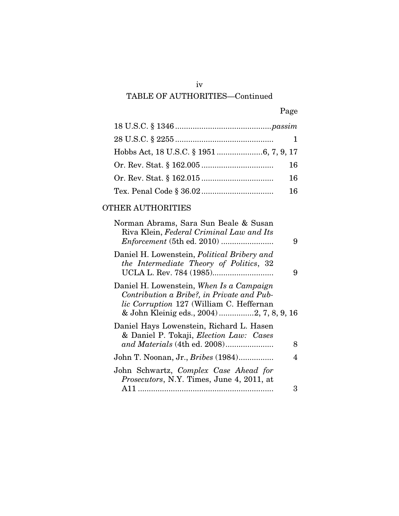## iv

# TABLE OF AUTHORITIES—Continued

| × |
|---|
|---|

| 16  |
|-----|
| 16  |
| 16. |

## OTHER AUTHORITIES

| Norman Abrams, Sara Sun Beale & Susan<br>Riva Klein, Federal Criminal Law and Its                                                                                               | 9 |
|---------------------------------------------------------------------------------------------------------------------------------------------------------------------------------|---|
| Daniel H. Lowenstein, <i>Political Bribery and</i><br>the Intermediate Theory of Politics, 32                                                                                   | 9 |
| Daniel H. Lowenstein, When Is a Campaign<br>Contribution a Bribe?, in Private and Pub-<br>lic Corruption 127 (William C. Heffernan<br>& John Kleinig eds., 2004) 2, 7, 8, 9, 16 |   |
| Daniel Hays Lowenstein, Richard L. Hasen<br>& Daniel P. Tokaji, <i>Election Law: Cases</i><br>and Materials (4th ed. 2008)                                                      | 8 |
| John T. Noonan, Jr., <i>Bribes</i> (1984)                                                                                                                                       | 4 |
| John Schwartz, Complex Case Ahead for<br><i>Prosecutors, N.Y. Times, June 4, 2011, at</i>                                                                                       |   |
|                                                                                                                                                                                 | З |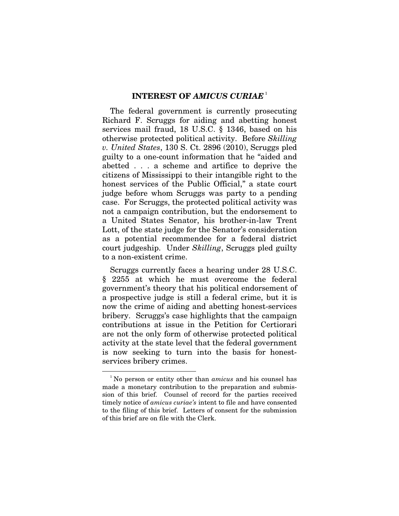#### **INTEREST OF** *AMICUS CURIAE* [1](#page-5-0)

The federal government is currently prosecuting Richard F. Scruggs for aiding and abetting honest services mail fraud, 18 U.S.C. § 1346, based on his otherwise protected political activity. Before *Skilling v. United States*, 130 S. Ct. 2896 (2010), Scruggs pled guilty to a one-count information that he "aided and abetted . . . a scheme and artifice to deprive the citizens of Mississippi to their intangible right to the honest services of the Public Official," a state court judge before whom Scruggs was party to a pending case. For Scruggs, the protected political activity was not a campaign contribution, but the endorsement to a United States Senator, his brother-in-law Trent Lott, of the state judge for the Senator's consideration as a potential recommendee for a federal district court judgeship. Under *Skilling*, Scruggs pled guilty to a non-existent crime.

Scruggs currently faces a hearing under 28 U.S.C. § 2255 at which he must overcome the federal government's theory that his political endorsement of a prospective judge is still a federal crime, but it is now the crime of aiding and abetting honest-services bribery. Scruggs's case highlights that the campaign contributions at issue in the Petition for Certiorari are not the only form of otherwise protected political activity at the state level that the federal government is now seeking to turn into the basis for honestservices bribery crimes.

<u>.</u>

<span id="page-5-0"></span><sup>&</sup>lt;sup>1</sup>No person or entity other than *amicus* and his counsel has made a monetary contribution to the preparation and submission of this brief. Counsel of record for the parties received timely notice of *amicus curiae's* intent to file and have consented to the filing of this brief. Letters of consent for the submission of this brief are on file with the Clerk.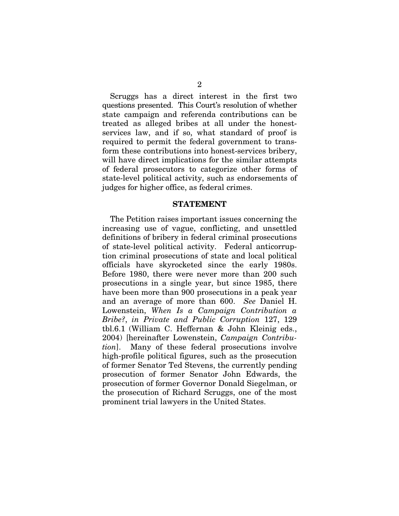Scruggs has a direct interest in the first two questions presented. This Court's resolution of whether state campaign and referenda contributions can be treated as alleged bribes at all under the honestservices law, and if so, what standard of proof is required to permit the federal government to transform these contributions into honest-services bribery, will have direct implications for the similar attempts of federal prosecutors to categorize other forms of state-level political activity, such as endorsements of judges for higher office, as federal crimes.

#### **STATEMENT**

The Petition raises important issues concerning the increasing use of vague, conflicting, and unsettled definitions of bribery in federal criminal prosecutions of state-level political activity. Federal anticorruption criminal prosecutions of state and local political officials have skyrocketed since the early 1980s. Before 1980, there were never more than 200 such prosecutions in a single year, but since 1985, there have been more than 900 prosecutions in a peak year and an average of more than 600. *See* Daniel H. Lowenstein, *When Is a Campaign Contribution a Bribe?*, *in Private and Public Corruption* 127, 129 tbl.6.1 (William C. Heffernan & John Kleinig eds., 2004) [hereinafter Lowenstein, *Campaign Contribution*]. Many of these federal prosecutions involve high-profile political figures, such as the prosecution of former Senator Ted Stevens, the currently pending prosecution of former Senator John Edwards, the prosecution of former Governor Donald Siegelman, or the prosecution of Richard Scruggs, one of the most prominent trial lawyers in the United States.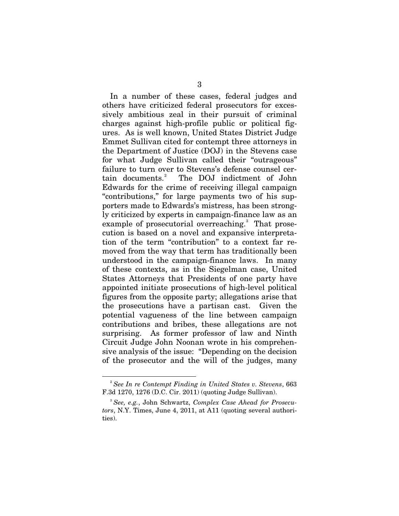In a number of these cases, federal judges and others have criticized federal prosecutors for excessively ambitious zeal in their pursuit of criminal charges against high-profile public or political figures. As is well known, United States District Judge Emmet Sullivan cited for contempt three attorneys in the Department of Justice (DOJ) in the Stevens case for what Judge Sullivan called their "outrageous" failure to turn over to Stevens's defense counsel cer- $\,\mathrm{tain}\,$  documents. $^2$  $^2$  The DOJ indictment of John Edwards for the crime of receiving illegal campaign "contributions," for large payments two of his supporters made to Edwards's mistress, has been strongly criticized by experts in campaign-finance law as an example of prosecutorial overreaching.<sup>[3](#page-7-1)</sup> That prosecution is based on a novel and expansive interpretation of the term "contribution" to a context far removed from the way that term has traditionally been understood in the campaign-finance laws. In many of these contexts, as in the Siegelman case, United States Attorneys that Presidents of one party have appointed initiate prosecutions of high-level political figures from the opposite party; allegations arise that the prosecutions have a partisan cast. Given the potential vagueness of the line between campaign contributions and bribes, these allegations are not surprising. As former professor of law and Ninth Circuit Judge John Noonan wrote in his comprehensive analysis of the issue: "Depending on the decision of the prosecutor and the will of the judges, many

<u>.</u>

<span id="page-7-0"></span><sup>2</sup> *See In re Contempt Finding in United States v. Stevens*, 663 F.3d 1270, 1276 (D.C. Cir. 2011) (quoting Judge Sullivan).

<span id="page-7-1"></span><sup>3</sup> *See, e.g.*, John Schwartz, *Complex Case Ahead for Prosecutors*, N.Y. Times, June 4, 2011, at A11 (quoting several authorities).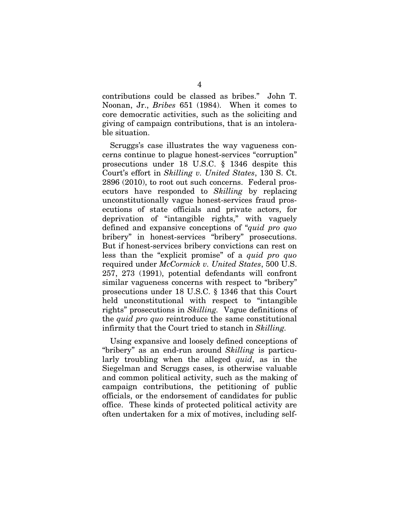contributions could be classed as bribes." John T. Noonan, Jr., *Bribes* 651 (1984). When it comes to core democratic activities, such as the soliciting and giving of campaign contributions, that is an intolerable situation.

Scruggs's case illustrates the way vagueness concerns continue to plague honest-services "corruption" prosecutions under 18 U.S.C. § 1346 despite this Court's effort in *Skilling v. United States*, 130 S. Ct. 2896 (2010), to root out such concerns. Federal prosecutors have responded to *Skilling* by replacing unconstitutionally vague honest-services fraud prosecutions of state officials and private actors, for deprivation of "intangible rights," with vaguely defined and expansive conceptions of "*quid pro quo* bribery" in honest-services "bribery" prosecutions. But if honest-services bribery convictions can rest on less than the "explicit promise" of a *quid pro quo* required under *McCormick v. United States*, 500 U.S. 257, 273 (1991), potential defendants will confront similar vagueness concerns with respect to "bribery" prosecutions under 18 U.S.C. § 1346 that this Court held unconstitutional with respect to "intangible rights" prosecutions in *Skilling.* Vague definitions of the *quid pro quo* reintroduce the same constitutional infirmity that the Court tried to stanch in *Skilling.*

Using expansive and loosely defined conceptions of "bribery" as an end-run around *Skilling* is particularly troubling when the alleged *quid*, as in the Siegelman and Scruggs cases, is otherwise valuable and common political activity, such as the making of campaign contributions, the petitioning of public officials, or the endorsement of candidates for public office. These kinds of protected political activity are often undertaken for a mix of motives, including self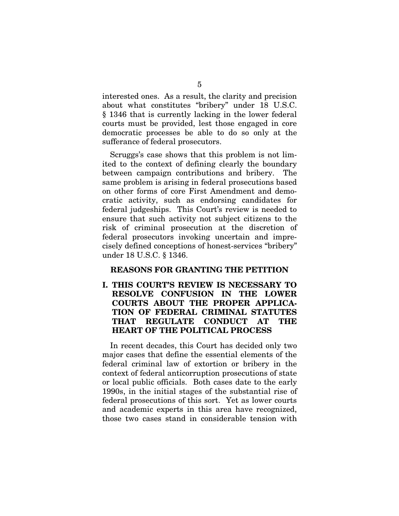interested ones. As a result, the clarity and precision about what constitutes "bribery" under 18 U.S.C. § 1346 that is currently lacking in the lower federal courts must be provided, lest those engaged in core democratic processes be able to do so only at the sufferance of federal prosecutors.

Scruggs's case shows that this problem is not limited to the context of defining clearly the boundary between campaign contributions and bribery. The same problem is arising in federal prosecutions based on other forms of core First Amendment and democratic activity, such as endorsing candidates for federal judgeships. This Court's review is needed to ensure that such activity not subject citizens to the risk of criminal prosecution at the discretion of federal prosecutors invoking uncertain and imprecisely defined conceptions of honest-services "bribery" under 18 U.S.C. § 1346.

#### **REASONS FOR GRANTING THE PETITION**

**I. THIS COURT'S REVIEW IS NECESSARY TO RESOLVE CONFUSION IN THE LOWER COURTS ABOUT THE PROPER APPLICA-TION OF FEDERAL CRIMINAL STATUTES THAT REGULATE CONDUCT AT THE HEART OF THE POLITICAL PROCESS**

In recent decades, this Court has decided only two major cases that define the essential elements of the federal criminal law of extortion or bribery in the context of federal anticorruption prosecutions of state or local public officials. Both cases date to the early 1990s, in the initial stages of the substantial rise of federal prosecutions of this sort. Yet as lower courts and academic experts in this area have recognized, those two cases stand in considerable tension with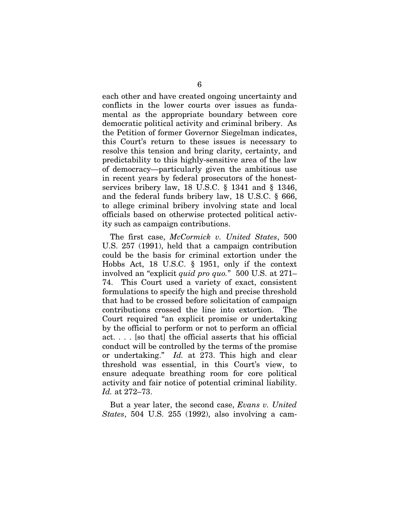each other and have created ongoing uncertainty and conflicts in the lower courts over issues as fundamental as the appropriate boundary between core democratic political activity and criminal bribery. As the Petition of former Governor Siegelman indicates, this Court's return to these issues is necessary to resolve this tension and bring clarity, certainty, and predictability to this highly-sensitive area of the law of democracy—particularly given the ambitious use in recent years by federal prosecutors of the honestservices bribery law, 18 U.S.C. § 1341 and § 1346, and the federal funds bribery law, 18 U.S.C. § 666, to allege criminal bribery involving state and local officials based on otherwise protected political activity such as campaign contributions.

The first case, *McCormick v. United States*, 500 U.S. 257 (1991), held that a campaign contribution could be the basis for criminal extortion under the Hobbs Act, 18 U.S.C. § 1951, only if the context involved an "explicit *quid pro quo.*" 500 U.S. at 271– 74. This Court used a variety of exact, consistent formulations to specify the high and precise threshold that had to be crossed before solicitation of campaign contributions crossed the line into extortion. The Court required "an explicit promise or undertaking by the official to perform or not to perform an official act. . . . [so that] the official asserts that his official conduct will be controlled by the terms of the promise or undertaking." *Id.* at 273. This high and clear threshold was essential, in this Court's view, to ensure adequate breathing room for core political activity and fair notice of potential criminal liability. *Id.* at 272–73.

But a year later, the second case, *Evans v. United States*, 504 U.S. 255 (1992), also involving a cam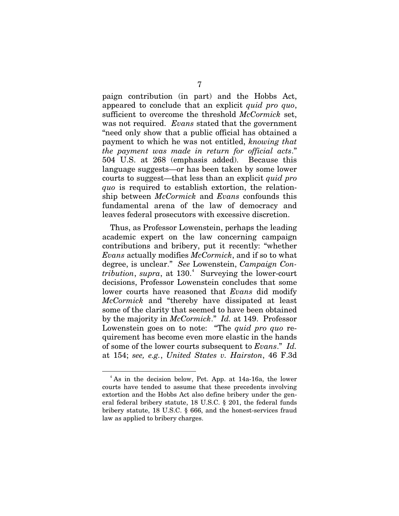paign contribution (in part) and the Hobbs Act, appeared to conclude that an explicit *quid pro quo*, sufficient to overcome the threshold *McCormick* set, was not required. *Evans* stated that the government "need only show that a public official has obtained a payment to which he was not entitled, *knowing that the payment was made in return for official acts*." 504 U.S. at 268 (emphasis added). Because this language suggests—or has been taken by some lower courts to suggest—that less than an explicit *quid pro quo* is required to establish extortion, the relationship between *McCormick* and *Evans* confounds this fundamental arena of the law of democracy and leaves federal prosecutors with excessive discretion.

Thus, as Professor Lowenstein, perhaps the leading academic expert on the law concerning campaign contributions and bribery, put it recently: "whether *Evans* actually modifies *McCormick*, and if so to what degree, is unclear." *See* Lowenstein, *Campaign Con* $tribution, \, supra,$  at  $130.<sup>4</sup>$  $130.<sup>4</sup>$  $130.<sup>4</sup>$  Surveying the lower-court decisions, Professor Lowenstein concludes that some lower courts have reasoned that *Evans* did modify *McCormick* and "thereby have dissipated at least some of the clarity that seemed to have been obtained by the majority in *McCormick*." *Id.* at 149. Professor Lowenstein goes on to note: "The *quid pro quo* requirement has become even more elastic in the hands of some of the lower courts subsequent to *Evans*." *Id.*  at 154; *see, e.g.*, *United States v. Hairston*, 46 F.3d

<u>.</u>

<span id="page-11-0"></span><sup>&</sup>lt;sup>4</sup> As in the decision below, Pet. App. at 14a-16a, the lower courts have tended to assume that these precedents involving extortion and the Hobbs Act also define bribery under the general federal bribery statute, 18 U.S.C. § 201, the federal funds bribery statute, 18 U.S.C. § 666, and the honest-services fraud law as applied to bribery charges.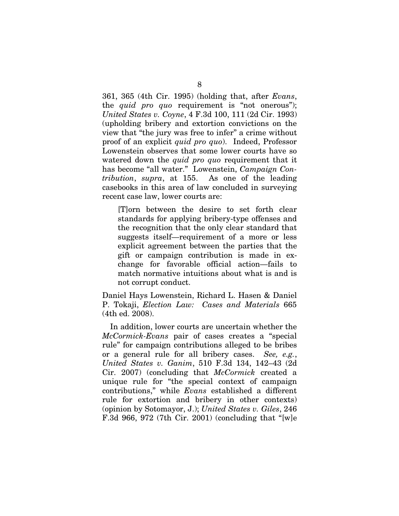361, 365 (4th Cir. 1995) (holding that, after *Evans*, the *quid pro quo* requirement is "not onerous"); *United States v. Coyne*, 4 F.3d 100, 111 (2d Cir. 1993) (upholding bribery and extortion convictions on the view that "the jury was free to infer" a crime without proof of an explicit *quid pro quo*). Indeed, Professor Lowenstein observes that some lower courts have so watered down the *quid pro quo* requirement that it has become "all water." Lowenstein, *Campaign Contribution*, *supra*, at 155. As one of the leading casebooks in this area of law concluded in surveying recent case law, lower courts are:

[T]orn between the desire to set forth clear standards for applying bribery-type offenses and the recognition that the only clear standard that suggests itself—requirement of a more or less explicit agreement between the parties that the gift or campaign contribution is made in exchange for favorable official action—fails to match normative intuitions about what is and is not corrupt conduct.

Daniel Hays Lowenstein, Richard L. Hasen & Daniel P. Tokaji, *Election Law: Cases and Materials* 665 (4th ed. 2008).

In addition, lower courts are uncertain whether the *McCormick-Evans* pair of cases creates a "special rule" for campaign contributions alleged to be bribes or a general rule for all bribery cases. *See, e.g.*, *United States v. Ganim*, 510 F.3d 134, 142–43 (2d Cir. 2007) (concluding that *McCormick* created a unique rule for "the special context of campaign contributions," while *Evans* established a different rule for extortion and bribery in other contexts) (opinion by Sotomayor, J.); *United States v. Giles*, 246 F.3d 966, 972 (7th Cir. 2001) (concluding that "[w]e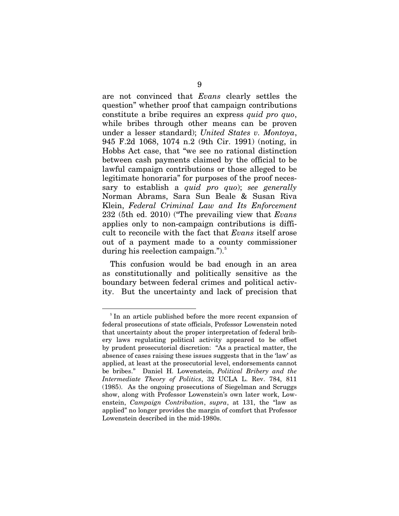are not convinced that *Evans* clearly settles the question" whether proof that campaign contributions constitute a bribe requires an express *quid pro quo*, while bribes through other means can be proven under a lesser standard); *United States v. Montoya*, 945 F.2d 1068, 1074 n.2 (9th Cir. 1991) (noting, in Hobbs Act case, that "we see no rational distinction between cash payments claimed by the official to be lawful campaign contributions or those alleged to be legitimate honoraria" for purposes of the proof necessary to establish a *quid pro quo*); *see generally*  Norman Abrams, Sara Sun Beale & Susan Riva Klein, *Federal Criminal Law and Its Enforcement* 232 (5th ed. 2010) ("The prevailing view that *Evans*  applies only to non-campaign contributions is difficult to reconcile with the fact that *Evans* itself arose out of a payment made to a county commissioner during his reelection campaign." $\cdot$ .

This confusion would be bad enough in an area as constitutionally and politically sensitive as the boundary between federal crimes and political activity. But the uncertainty and lack of precision that

<u>.</u>

<span id="page-13-0"></span><sup>&</sup>lt;sup>5</sup> In an article published before the more recent expansion of federal prosecutions of state officials, Professor Lowenstein noted that uncertainty about the proper interpretation of federal bribery laws regulating political activity appeared to be offset by prudent prosecutorial discretion: "As a practical matter, the absence of cases raising these issues suggests that in the 'law' as applied, at least at the prosecutorial level, endorsements cannot be bribes." Daniel H. Lowenstein, *Political Bribery and the Intermediate Theory of Politics*, 32 UCLA L. Rev. 784, 811 (1985). As the ongoing prosecutions of Siegelman and Scruggs show, along with Professor Lowenstein's own later work, Lowenstein, *Campaign Contribution*, *supra*, at 131, the "law as applied" no longer provides the margin of comfort that Professor Lowenstein described in the mid-1980s.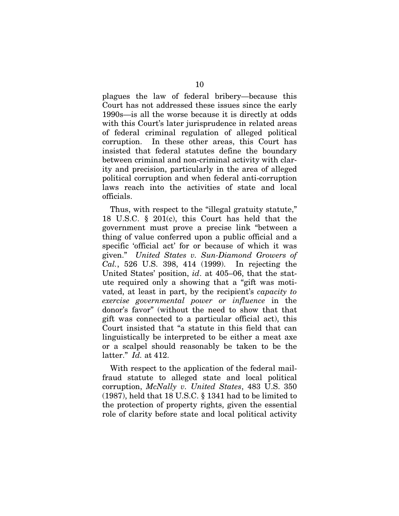plagues the law of federal bribery—because this Court has not addressed these issues since the early 1990s—is all the worse because it is directly at odds with this Court's later jurisprudence in related areas of federal criminal regulation of alleged political corruption. In these other areas, this Court has insisted that federal statutes define the boundary between criminal and non-criminal activity with clarity and precision, particularly in the area of alleged political corruption and when federal anti-corruption laws reach into the activities of state and local officials.

Thus, with respect to the "illegal gratuity statute," 18 U.S.C. § 201(c), this Court has held that the government must prove a precise link "between a thing of value conferred upon a public official and a specific 'official act' for or because of which it was given." *United States v. Sun-Diamond Growers of Cal.*, 526 U.S. 398, 414 (1999). In rejecting the United States' position, *id*. at 405–06, that the statute required only a showing that a "gift was motivated, at least in part, by the recipient's *capacity to exercise governmental power or influence* in the donor's favor" (without the need to show that that gift was connected to a particular official act), this Court insisted that "a statute in this field that can linguistically be interpreted to be either a meat axe or a scalpel should reasonably be taken to be the latter." *Id.* at 412.

With respect to the application of the federal mailfraud statute to alleged state and local political corruption, *McNally v. United States*, 483 U.S. 350 (1987), held that 18 U.S.C. § 1341 had to be limited to the protection of property rights, given the essential role of clarity before state and local political activity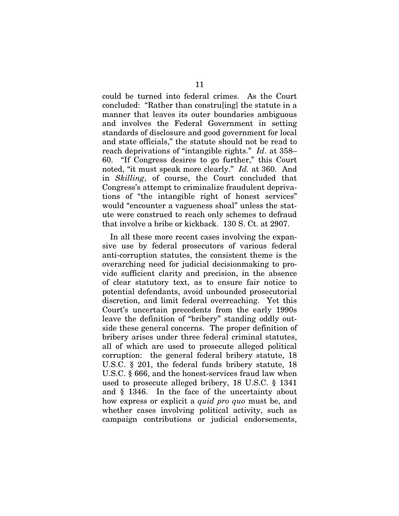could be turned into federal crimes. As the Court concluded: "Rather than constru[ing] the statute in a manner that leaves its outer boundaries ambiguous and involves the Federal Government in setting standards of disclosure and good government for local and state officials," the statute should not be read to reach deprivations of "intangible rights." *Id*. at 358– 60. "If Congress desires to go further," this Court noted, "it must speak more clearly." *Id.* at 360.And in *Skilling*, of course, the Court concluded that Congress's attempt to criminalize fraudulent deprivations of "the intangible right of honest services" would "encounter a vagueness shoal" unless the statute were construed to reach only schemes to defraud that involve a bribe or kickback. 130 S. Ct. at 2907.

In all these more recent cases involving the expansive use by federal prosecutors of various federal anti-corruption statutes, the consistent theme is the overarching need for judicial decisionmaking to provide sufficient clarity and precision, in the absence of clear statutory text, as to ensure fair notice to potential defendants, avoid unbounded prosecutorial discretion, and limit federal overreaching. Yet this Court's uncertain precedents from the early 1990s leave the definition of "bribery" standing oddly outside these general concerns. The proper definition of bribery arises under three federal criminal statutes, all of which are used to prosecute alleged political corruption: the general federal bribery statute, 18 U.S.C. § 201, the federal funds bribery statute, 18 U.S.C. § 666, and the honest-services fraud law when used to prosecute alleged bribery, 18 U.S.C. § 1341 and § 1346. In the face of the uncertainty about how express or explicit a *quid pro quo* must be, and whether cases involving political activity, such as campaign contributions or judicial endorsements,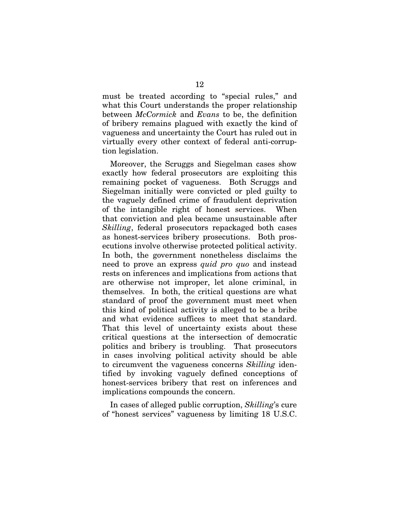must be treated according to "special rules," and what this Court understands the proper relationship between *McCormick* and *Evans* to be, the definition of bribery remains plagued with exactly the kind of vagueness and uncertainty the Court has ruled out in virtually every other context of federal anti-corruption legislation.

Moreover, the Scruggs and Siegelman cases show exactly how federal prosecutors are exploiting this remaining pocket of vagueness. Both Scruggs and Siegelman initially were convicted or pled guilty to the vaguely defined crime of fraudulent deprivation of the intangible right of honest services. When that conviction and plea became unsustainable after *Skilling*, federal prosecutors repackaged both cases as honest-services bribery prosecutions. Both prosecutions involve otherwise protected political activity. In both, the government nonetheless disclaims the need to prove an express *quid pro quo* and instead rests on inferences and implications from actions that are otherwise not improper, let alone criminal, in themselves. In both, the critical questions are what standard of proof the government must meet when this kind of political activity is alleged to be a bribe and what evidence suffices to meet that standard. That this level of uncertainty exists about these critical questions at the intersection of democratic politics and bribery is troubling. That prosecutors in cases involving political activity should be able to circumvent the vagueness concerns *Skilling* identified by invoking vaguely defined conceptions of honest-services bribery that rest on inferences and implications compounds the concern.

In cases of alleged public corruption, *Skilling*'s cure of "honest services" vagueness by limiting 18 U.S.C.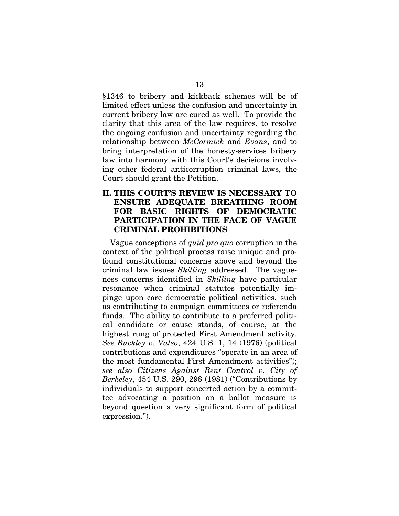§1346 to bribery and kickback schemes will be of limited effect unless the confusion and uncertainty in current bribery law are cured as well. To provide the clarity that this area of the law requires, to resolve the ongoing confusion and uncertainty regarding the relationship between *McCormick* and *Evans*, and to bring interpretation of the honesty-services bribery law into harmony with this Court's decisions involving other federal anticorruption criminal laws, the Court should grant the Petition.

#### **II. THIS COURT'S REVIEW IS NECESSARY TO ENSURE ADEQUATE BREATHING ROOM FOR BASIC RIGHTS OF DEMOCRATIC PARTICIPATION IN THE FACE OF VAGUE CRIMINAL PROHIBITIONS**

Vague conceptions of *quid pro quo* corruption in the context of the political process raise unique and profound constitutional concerns above and beyond the criminal law issues *Skilling* addressed*.* The vagueness concerns identified in *Skilling* have particular resonance when criminal statutes potentially impinge upon core democratic political activities, such as contributing to campaign committees or referenda funds. The ability to contribute to a preferred political candidate or cause stands, of course, at the highest rung of protected First Amendment activity. *See Buckley v. Valeo*, 424 U.S. 1, 14 (1976) (political contributions and expenditures "operate in an area of the most fundamental First Amendment activities"); *see also Citizens Against Rent Control v. City of Berkeley*, 454 U.S. 290, 298 (1981) ("Contributions by individuals to support concerted action by a committee advocating a position on a ballot measure is beyond question a very significant form of political expression.").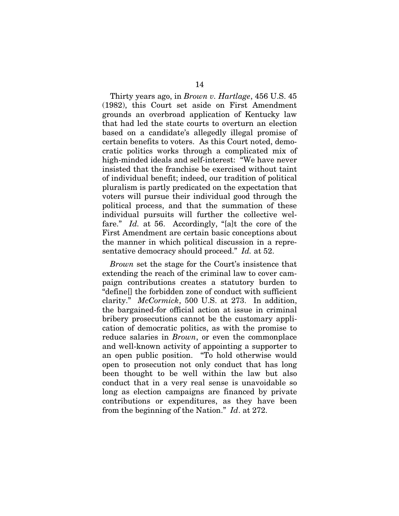Thirty years ago, in *Brown v. Hartlage*, 456 U.S. 45 (1982), this Court set aside on First Amendment grounds an overbroad application of Kentucky law that had led the state courts to overturn an election based on a candidate's allegedly illegal promise of certain benefits to voters. As this Court noted, democratic politics works through a complicated mix of high-minded ideals and self-interest: "We have never insisted that the franchise be exercised without taint of individual benefit; indeed, our tradition of political pluralism is partly predicated on the expectation that voters will pursue their individual good through the political process, and that the summation of these individual pursuits will further the collective welfare." *Id.* at 56. Accordingly, "[a]t the core of the First Amendment are certain basic conceptions about the manner in which political discussion in a representative democracy should proceed." *Id.* at 52.

*Brown* set the stage for the Court's insistence that extending the reach of the criminal law to cover campaign contributions creates a statutory burden to "define[] the forbidden zone of conduct with sufficient clarity." *McCormick*, 500 U.S. at 273. In addition, the bargained-for official action at issue in criminal bribery prosecutions cannot be the customary application of democratic politics, as with the promise to reduce salaries in *Brown*, or even the commonplace and well-known activity of appointing a supporter to an open public position. "To hold otherwise would open to prosecution not only conduct that has long been thought to be well within the law but also conduct that in a very real sense is unavoidable so long as election campaigns are financed by private contributions or expenditures, as they have been from the beginning of the Nation." *Id*. at 272.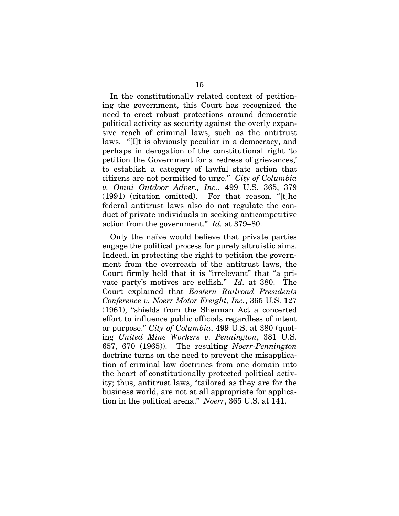In the constitutionally related context of petitioning the government, this Court has recognized the need to erect robust protections around democratic political activity as security against the overly expansive reach of criminal laws, such as the antitrust laws. "[I]t is obviously peculiar in a democracy, and perhaps in derogation of the constitutional right 'to petition the Government for a redress of grievances,' to establish a category of lawful state action that citizens are not permitted to urge." *City of Columbia v. Omni Outdoor Adver., Inc.*, 499 U.S. 365, 379 (1991) (citation omitted). For that reason, "[t]he federal antitrust laws also do not regulate the conduct of private individuals in seeking anticompetitive action from the government." *Id.* at 379–80.

Only the naïve would believe that private parties engage the political process for purely altruistic aims. Indeed, in protecting the right to petition the government from the overreach of the antitrust laws, the Court firmly held that it is "irrelevant" that "a private party's motives are selfish." *Id.* at 380. The Court explained that *Eastern Railroad Presidents Conference v. Noerr Motor Freight, Inc.*, 365 U.S. 127 (1961), "shields from the Sherman Act a concerted effort to influence public officials regardless of intent or purpose." *City of Columbia*, 499 U.S. at 380 (quoting *United Mine Workers v. Pennington*, 381 U.S. 657, 670 (1965)). The resulting *Noerr-Pennington*  doctrine turns on the need to prevent the misapplication of criminal law doctrines from one domain into the heart of constitutionally protected political activity; thus, antitrust laws, "tailored as they are for the business world, are not at all appropriate for application in the political arena." *Noerr*, 365 U.S. at 141.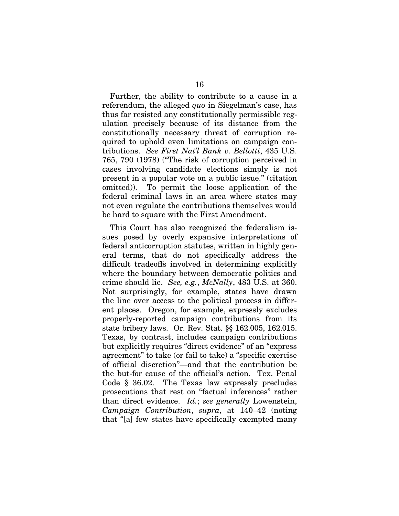Further, the ability to contribute to a cause in a referendum, the alleged *quo* in Siegelman's case, has thus far resisted any constitutionally permissible regulation precisely because of its distance from the constitutionally necessary threat of corruption required to uphold even limitations on campaign contributions. *See First Nat'l Bank v. Bellotti*, 435 U.S. 765, 790 (1978) ("The risk of corruption perceived in cases involving candidate elections simply is not present in a popular vote on a public issue." (citation omitted)). To permit the loose application of the federal criminal laws in an area where states may not even regulate the contributions themselves would be hard to square with the First Amendment.

This Court has also recognized the federalism issues posed by overly expansive interpretations of federal anticorruption statutes, written in highly general terms, that do not specifically address the difficult tradeoffs involved in determining explicitly where the boundary between democratic politics and crime should lie. *See, e.g.*, *McNally*, 483 U.S. at 360. Not surprisingly, for example, states have drawn the line over access to the political process in different places. Oregon, for example, expressly excludes properly-reported campaign contributions from its state bribery laws. Or. Rev. Stat. §§ 162.005, 162.015. Texas, by contrast, includes campaign contributions but explicitly requires "direct evidence" of an "express agreement" to take (or fail to take) a "specific exercise of official discretion"—and that the contribution be the but-for cause of the official's action. Tex. Penal Code § 36.02. The Texas law expressly precludes prosecutions that rest on "factual inferences" rather than direct evidence. *Id.*; *see generally* Lowenstein, *Campaign Contribution*, *supra*, at 140–42 (noting that "[a] few states have specifically exempted many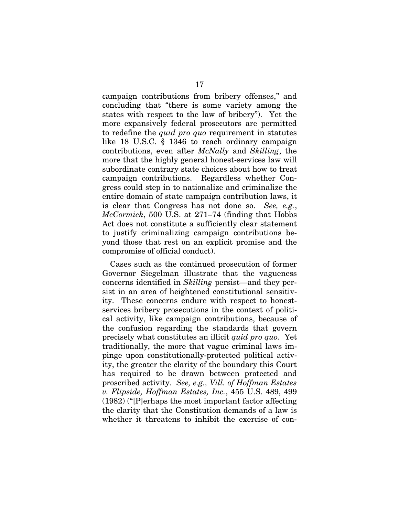campaign contributions from bribery offenses," and concluding that "there is some variety among the states with respect to the law of bribery"). Yet the more expansively federal prosecutors are permitted to redefine the *quid pro quo* requirement in statutes like 18 U.S.C. § 1346 to reach ordinary campaign contributions, even after *McNally* and *Skilling*, the more that the highly general honest-services law will subordinate contrary state choices about how to treat campaign contributions. Regardless whether Congress could step in to nationalize and criminalize the entire domain of state campaign contribution laws, it is clear that Congress has not done so. *See, e.g.*, *McCormick*, 500 U.S. at 271–74 (finding that Hobbs Act does not constitute a sufficiently clear statement to justify criminalizing campaign contributions beyond those that rest on an explicit promise and the compromise of official conduct).

Cases such as the continued prosecution of former Governor Siegelman illustrate that the vagueness concerns identified in *Skilling* persist—and they persist in an area of heightened constitutional sensitivity. These concerns endure with respect to honestservices bribery prosecutions in the context of political activity, like campaign contributions, because of the confusion regarding the standards that govern precisely what constitutes an illicit *quid pro quo.* Yet traditionally, the more that vague criminal laws impinge upon constitutionally-protected political activity, the greater the clarity of the boundary this Court has required to be drawn between protected and proscribed activity. *See, e.g., Vill. of Hoffman Estates v. Flipside, Hoffman Estates, Inc.*, 455 U.S. 489, 499 (1982) ("[P]erhaps the most important factor affecting the clarity that the Constitution demands of a law is whether it threatens to inhibit the exercise of con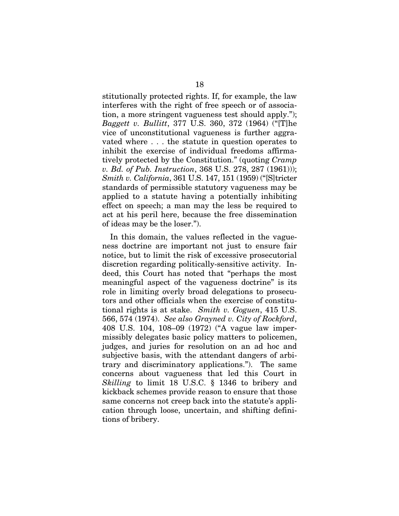stitutionally protected rights. If, for example, the law interferes with the right of free speech or of association, a more stringent vagueness test should apply."); *Baggett v. Bullitt*, 377 U.S. 360, 372 (1964) ("[T]he vice of unconstitutional vagueness is further aggravated where . . . the statute in question operates to inhibit the exercise of individual freedoms affirmatively protected by the Constitution." (quoting *Cramp v. Bd. of Pub. Instruction*, 368 U.S. 278, 287 (1961))); *Smith v. California*, 361 U.S. 147, 151 (1959) ("[S]tricter standards of permissible statutory vagueness may be applied to a statute having a potentially inhibiting effect on speech; a man may the less be required to act at his peril here, because the free dissemination of ideas may be the loser.").

In this domain, the values reflected in the vagueness doctrine are important not just to ensure fair notice, but to limit the risk of excessive prosecutorial discretion regarding politically-sensitive activity. Indeed, this Court has noted that "perhaps the most meaningful aspect of the vagueness doctrine" is its role in limiting overly broad delegations to prosecutors and other officials when the exercise of constitutional rights is at stake. *Smith v. Goguen*, 415 U.S. 566, 574 (1974). *See also Grayned v. City of Rockford*, 408 U.S. 104, 108–09 (1972) ("A vague law impermissibly delegates basic policy matters to policemen, judges, and juries for resolution on an ad hoc and subjective basis, with the attendant dangers of arbitrary and discriminatory applications."). The same concerns about vagueness that led this Court in *Skilling* to limit 18 U.S.C. § 1346 to bribery and kickback schemes provide reason to ensure that those same concerns not creep back into the statute's application through loose, uncertain, and shifting definitions of bribery.